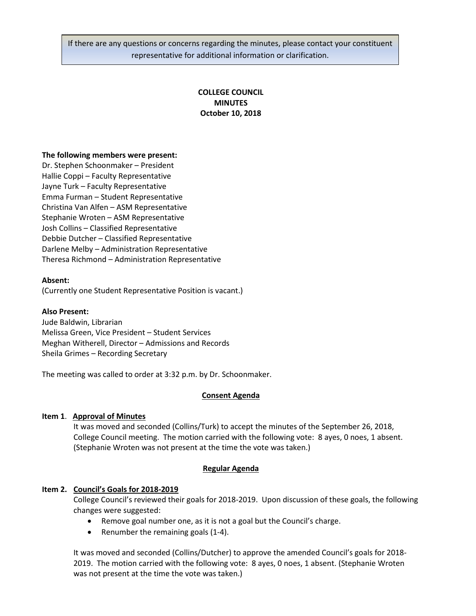If there are any questions or concerns regarding the minutes, please contact your constituent representative for additional information or clarification.

# **COLLEGE COUNCIL MINUTES October 10, 2018**

### **The following members were present:**

Dr. Stephen Schoonmaker – President Hallie Coppi – Faculty Representative Jayne Turk – Faculty Representative Emma Furman – Student Representative Christina Van Alfen – ASM Representative Stephanie Wroten – ASM Representative Josh Collins – Classified Representative Debbie Dutcher – Classified Representative Darlene Melby – Administration Representative Theresa Richmond – Administration Representative

### **Absent:**

(Currently one Student Representative Position is vacant.)

#### **Also Present:**

Jude Baldwin, Librarian Melissa Green, Vice President – Student Services Meghan Witherell, Director – Admissions and Records Sheila Grimes – Recording Secretary

The meeting was called to order at 3:32 p.m. by Dr. Schoonmaker.

#### **Consent Agenda**

#### **Item 1**. **Approval of Minutes**

It was moved and seconded (Collins/Turk) to accept the minutes of the September 26, 2018, College Council meeting. The motion carried with the following vote: 8 ayes, 0 noes, 1 absent. (Stephanie Wroten was not present at the time the vote was taken.)

#### **Regular Agenda**

# **Item 2. Council's Goals for 2018-2019**

College Council's reviewed their goals for 2018-2019. Upon discussion of these goals, the following changes were suggested:

- Remove goal number one, as it is not a goal but the Council's charge.
- Renumber the remaining goals (1-4).

It was moved and seconded (Collins/Dutcher) to approve the amended Council's goals for 2018- 2019. The motion carried with the following vote: 8 ayes, 0 noes, 1 absent. (Stephanie Wroten was not present at the time the vote was taken.)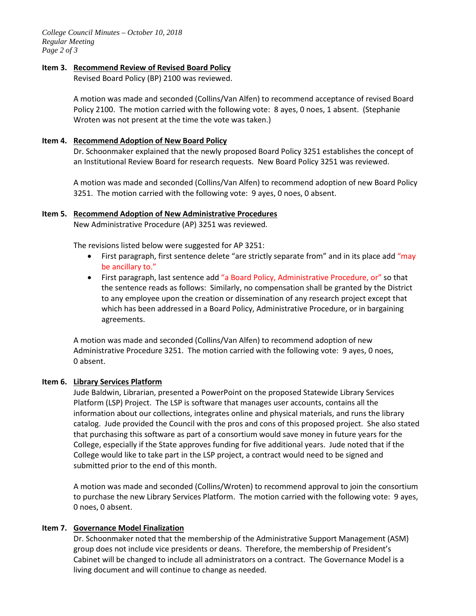*College Council Minutes – October 10, 2018 Regular Meeting Page 2 of 3*

### **Item 3. Recommend Review of Revised Board Policy**

Revised Board Policy (BP) 2100 was reviewed.

A motion was made and seconded (Collins/Van Alfen) to recommend acceptance of revised Board Policy 2100. The motion carried with the following vote: 8 ayes, 0 noes, 1 absent. (Stephanie Wroten was not present at the time the vote was taken.)

### **Item 4. Recommend Adoption of New Board Policy**

Dr. Schoonmaker explained that the newly proposed Board Policy 3251 establishes the concept of an Institutional Review Board for research requests. New Board Policy 3251 was reviewed.

A motion was made and seconded (Collins/Van Alfen) to recommend adoption of new Board Policy 3251. The motion carried with the following vote: 9 ayes, 0 noes, 0 absent.

# **Item 5. Recommend Adoption of New Administrative Procedures**

New Administrative Procedure (AP) 3251 was reviewed.

The revisions listed below were suggested for AP 3251:

- First paragraph, first sentence delete "are strictly separate from" and in its place add "may be ancillary to."
- First paragraph, last sentence add "a Board Policy, Administrative Procedure, or" so that the sentence reads as follows: Similarly, no compensation shall be granted by the District to any employee upon the creation or dissemination of any research project except that which has been addressed in a Board Policy, Administrative Procedure, or in bargaining agreements.

A motion was made and seconded (Collins/Van Alfen) to recommend adoption of new Administrative Procedure 3251. The motion carried with the following vote: 9 ayes, 0 noes, 0 absent.

# **Item 6. Library Services Platform**

Jude Baldwin, Librarian, presented a PowerPoint on the proposed Statewide Library Services Platform (LSP) Project. The LSP is software that manages user accounts, contains all the information about our collections, integrates online and physical materials, and runs the library catalog. Jude provided the Council with the pros and cons of this proposed project. She also stated that purchasing this software as part of a consortium would save money in future years for the College, especially if the State approves funding for five additional years. Jude noted that if the College would like to take part in the LSP project, a contract would need to be signed and submitted prior to the end of this month.

A motion was made and seconded (Collins/Wroten) to recommend approval to join the consortium to purchase the new Library Services Platform. The motion carried with the following vote: 9 ayes, 0 noes, 0 absent.

# **Item 7. Governance Model Finalization**

Dr. Schoonmaker noted that the membership of the Administrative Support Management (ASM) group does not include vice presidents or deans. Therefore, the membership of President's Cabinet will be changed to include all administrators on a contract. The Governance Model is a living document and will continue to change as needed.